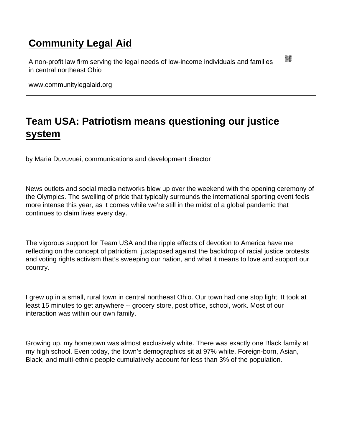## [Community Legal Aid](https://www.communitylegalaid.org/)

A non-profit law firm serving the legal needs of low-income individuals and families in central northeast Ohio

www.communitylegalaid.org

## [Team USA: Patriotism means questioning our justice](https://www.communitylegalaid.org/node/1564/team-usa-patriotism-means-questioning-our-justice-system)  [system](https://www.communitylegalaid.org/node/1564/team-usa-patriotism-means-questioning-our-justice-system)

by Maria Duvuvuei, communications and development director

News outlets and social media networks blew up over the weekend with the opening ceremony of the Olympics. The swelling of pride that typically surrounds the international sporting event feels more intense this year, as it comes while we're still in the midst of a global pandemic that continues to claim lives every day.

The vigorous support for Team USA and the ripple effects of devotion to America have me reflecting on the concept of patriotism, juxtaposed against the backdrop of racial justice protests and voting rights activism that's sweeping our nation, and what it means to love and support our country.

I grew up in a small, rural town in central northeast Ohio. Our town had one stop light. It took at least 15 minutes to get anywhere -- grocery store, post office, school, work. Most of our interaction was within our own family.

Growing up, my hometown was almost exclusively white. There was exactly one Black family at my high school. Even today, the town's demographics sit at 97% white. Foreign-born, Asian, Black, and multi-ethnic people cumulatively account for less than 3% of the population.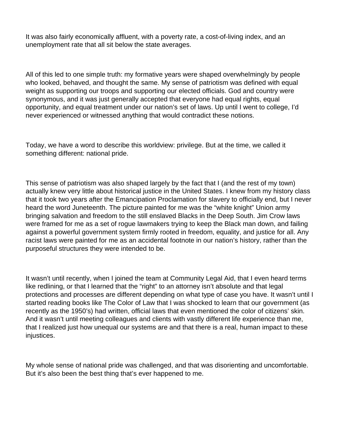It was also fairly economically affluent, with a poverty rate, a cost-of-living index, and an unemployment rate that all sit below the state averages.

All of this led to one simple truth: my formative years were shaped overwhelmingly by people who looked, behaved, and thought the same. My sense of patriotism was defined with equal weight as supporting our troops and supporting our elected officials. God and country were synonymous, and it was just generally accepted that everyone had equal rights, equal opportunity, and equal treatment under our nation's set of laws. Up until I went to college, I'd never experienced or witnessed anything that would contradict these notions.

Today, we have a word to describe this worldview: privilege. But at the time, we called it something different: national pride.

This sense of patriotism was also shaped largely by the fact that I (and the rest of my town) actually knew very little about historical justice in the United States. I knew from my history class that it took two years after the Emancipation Proclamation for slavery to officially end, but I never heard the word Juneteenth. The picture painted for me was the "white knight" Union army bringing salvation and freedom to the still enslaved Blacks in the Deep South. Jim Crow laws were framed for me as a set of rogue lawmakers trying to keep the Black man down, and failing against a powerful government system firmly rooted in freedom, equality, and justice for all. Any racist laws were painted for me as an accidental footnote in our nation's history, rather than the purposeful structures they were intended to be.

It wasn't until recently, when I joined the team at Community Legal Aid, that I even heard terms like redlining, or that I learned that the "right" to an attorney isn't absolute and that legal protections and processes are different depending on what type of case you have. It wasn't until I started reading books like The Color of Law that I was shocked to learn that our government (as recently as the 1950's) had written, official laws that even mentioned the color of citizens' skin. And it wasn't until meeting colleagues and clients with vastly different life experience than me, that I realized just how unequal our systems are and that there is a real, human impact to these injustices.

My whole sense of national pride was challenged, and that was disorienting and uncomfortable. But it's also been the best thing that's ever happened to me.